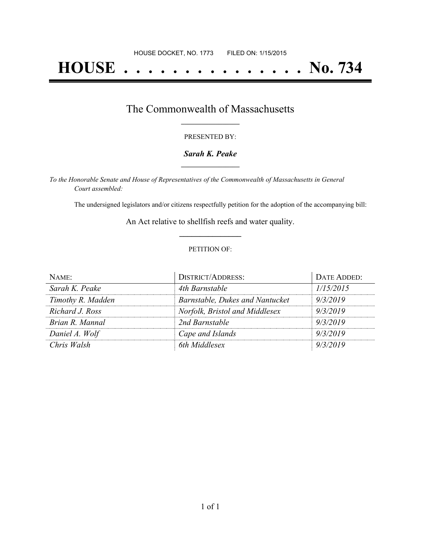# **HOUSE . . . . . . . . . . . . . . . No. 734**

### The Commonwealth of Massachusetts **\_\_\_\_\_\_\_\_\_\_\_\_\_\_\_\_\_**

#### PRESENTED BY:

#### *Sarah K. Peake* **\_\_\_\_\_\_\_\_\_\_\_\_\_\_\_\_\_**

*To the Honorable Senate and House of Representatives of the Commonwealth of Massachusetts in General Court assembled:*

The undersigned legislators and/or citizens respectfully petition for the adoption of the accompanying bill:

An Act relative to shellfish reefs and water quality. **\_\_\_\_\_\_\_\_\_\_\_\_\_\_\_**

#### PETITION OF:

| NAME:             | <b>DISTRICT/ADDRESS:</b>        | DATE ADDED: |
|-------------------|---------------------------------|-------------|
| Sarah K. Peake    | 4th Barnstable                  | 1/15/2015   |
| Timothy R. Madden | Barnstable, Dukes and Nantucket | 9/3/2019    |
| Richard J. Ross   | Norfolk, Bristol and Middlesex  | 9/3/2019    |
| Brian R. Mannal   | 2nd Barnstable                  | 9/3/2019    |
| Daniel A. Wolf    | Cape and Islands                | 9/3/2019    |
| Chris Walsh       | 6th Middlesex                   | 9/3/2019    |